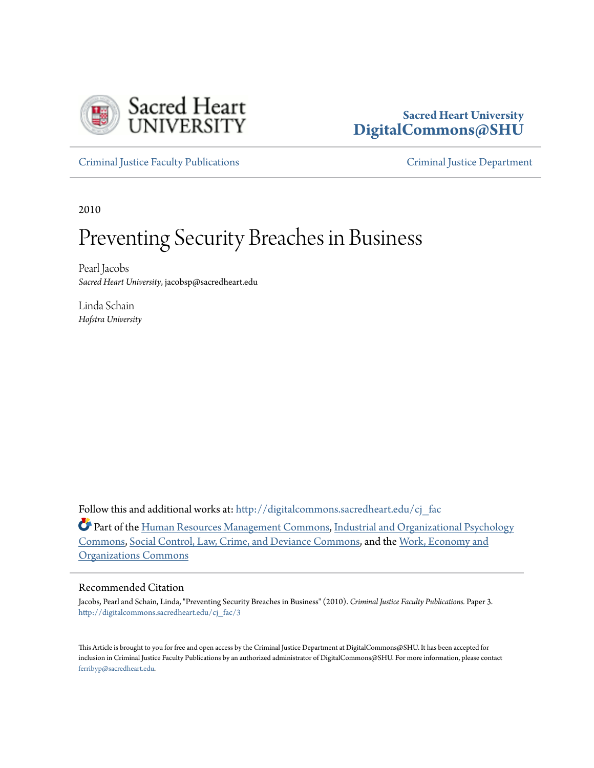

# **Sacred Heart University [DigitalCommons@SHU](http://digitalcommons.sacredheart.edu?utm_source=digitalcommons.sacredheart.edu%2Fcj_fac%2F3&utm_medium=PDF&utm_campaign=PDFCoverPages)**

[Criminal Justice Faculty Publications](http://digitalcommons.sacredheart.edu/cj_fac?utm_source=digitalcommons.sacredheart.edu%2Fcj_fac%2F3&utm_medium=PDF&utm_campaign=PDFCoverPages) [Criminal Justice Department](http://digitalcommons.sacredheart.edu/cj?utm_source=digitalcommons.sacredheart.edu%2Fcj_fac%2F3&utm_medium=PDF&utm_campaign=PDFCoverPages)

2010

# Preventing Security Breaches in Business

Pearl Jacobs *Sacred Heart University*, jacobsp@sacredheart.edu

Linda Schain *Hofstra University*

Follow this and additional works at: [http://digitalcommons.sacredheart.edu/cj\\_fac](http://digitalcommons.sacredheart.edu/cj_fac?utm_source=digitalcommons.sacredheart.edu%2Fcj_fac%2F3&utm_medium=PDF&utm_campaign=PDFCoverPages)

Part of the [Human Resources Management Commons,](http://network.bepress.com/hgg/discipline/633?utm_source=digitalcommons.sacredheart.edu%2Fcj_fac%2F3&utm_medium=PDF&utm_campaign=PDFCoverPages) [Industrial and Organizational Psychology](http://network.bepress.com/hgg/discipline/412?utm_source=digitalcommons.sacredheart.edu%2Fcj_fac%2F3&utm_medium=PDF&utm_campaign=PDFCoverPages) [Commons,](http://network.bepress.com/hgg/discipline/412?utm_source=digitalcommons.sacredheart.edu%2Fcj_fac%2F3&utm_medium=PDF&utm_campaign=PDFCoverPages) [Social Control, Law, Crime, and Deviance Commons](http://network.bepress.com/hgg/discipline/429?utm_source=digitalcommons.sacredheart.edu%2Fcj_fac%2F3&utm_medium=PDF&utm_campaign=PDFCoverPages), and the [Work, Economy and](http://network.bepress.com/hgg/discipline/433?utm_source=digitalcommons.sacredheart.edu%2Fcj_fac%2F3&utm_medium=PDF&utm_campaign=PDFCoverPages) [Organizations Commons](http://network.bepress.com/hgg/discipline/433?utm_source=digitalcommons.sacredheart.edu%2Fcj_fac%2F3&utm_medium=PDF&utm_campaign=PDFCoverPages)

#### Recommended Citation

Jacobs, Pearl and Schain, Linda, "Preventing Security Breaches in Business" (2010). *Criminal Justice Faculty Publications.* Paper 3. [http://digitalcommons.sacredheart.edu/cj\\_fac/3](http://digitalcommons.sacredheart.edu/cj_fac/3?utm_source=digitalcommons.sacredheart.edu%2Fcj_fac%2F3&utm_medium=PDF&utm_campaign=PDFCoverPages)

This Article is brought to you for free and open access by the Criminal Justice Department at DigitalCommons@SHU. It has been accepted for inclusion in Criminal Justice Faculty Publications by an authorized administrator of DigitalCommons@SHU. For more information, please contact [ferribyp@sacredheart.edu](mailto:ferribyp@sacredheart.edu).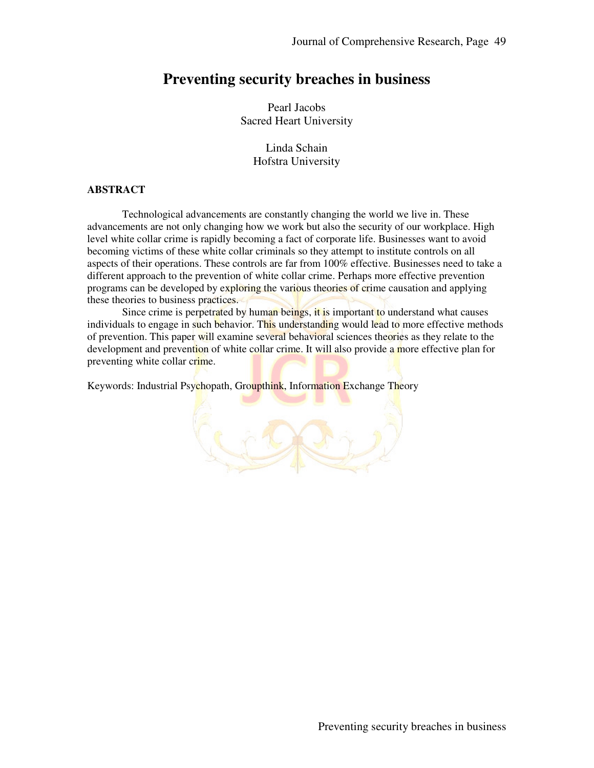# **Preventing security breaches in business**

Pearl Jacobs Sacred Heart University

> Linda Schain Hofstra University

#### **ABSTRACT**

Technological advancements are constantly changing the world we live in. These advancements are not only changing how we work but also the security of our workplace. High level white collar crime is rapidly becoming a fact of corporate life. Businesses want to avoid becoming victims of these white collar criminals so they attempt to institute controls on all aspects of their operations. These controls are far from 100% effective. Businesses need to take a different approach to the prevention of white collar crime. Perhaps more effective prevention programs can be developed by exploring the various theories of crime causation and applying these theories to business practices.

Since crime is perpetrated by human beings, it is important to understand what causes individuals to engage in such behavior. This understanding would lead to more effective methods of prevention. This paper will examine several behavioral sciences theories as they relate to the development and prevention of white collar crime. It will also provide a more effective plan for preventing white collar crime.

Keywords: Industrial Psychopath, Groupthink, Information Exchange Theory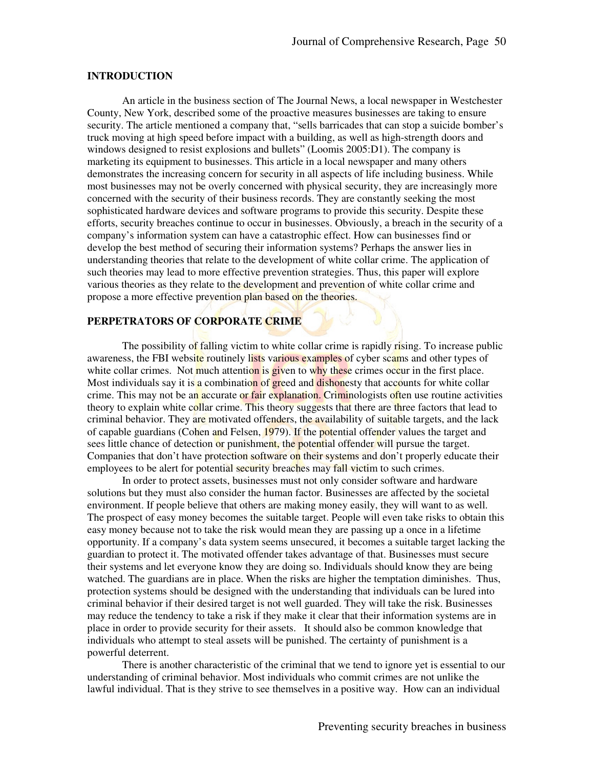#### **INTRODUCTION**

An article in the business section of The Journal News, a local newspaper in Westchester County, New York, described some of the proactive measures businesses are taking to ensure security. The article mentioned a company that, "sells barricades that can stop a suicide bomber's truck moving at high speed before impact with a building, as well as high-strength doors and windows designed to resist explosions and bullets" (Loomis 2005:D1). The company is marketing its equipment to businesses. This article in a local newspaper and many others demonstrates the increasing concern for security in all aspects of life including business. While most businesses may not be overly concerned with physical security, they are increasingly more concerned with the security of their business records. They are constantly seeking the most sophisticated hardware devices and software programs to provide this security. Despite these efforts, security breaches continue to occur in businesses. Obviously, a breach in the security of a company's information system can have a catastrophic effect. How can businesses find or develop the best method of securing their information systems? Perhaps the answer lies in understanding theories that relate to the development of white collar crime. The application of such theories may lead to more effective prevention strategies. Thus, this paper will explore various theories as they relate to the development and prevention of white collar crime and propose a more effective prevention plan based on the theories.

# **PERPETRATORS OF CORPORATE CRIME**

The possibility of falling victim to white collar crime is rapidly rising. To increase public awareness, the FBI website routinely lists various examples of cyber scams and other types of white collar crimes. Not much attention is given to why these crimes occur in the first place. Most individuals say it is a combination of greed and dishonesty that accounts for white collar crime. This may not be an accurate or fair explanation. Criminologists often use routine activities theory to explain white collar crime. This theory suggests that there are three factors that lead to criminal behavior. They are motivated offenders, the availability of suitable targets, and the lack of capable guardians (Cohen and Felsen, 1979). If the potential offender values the target and sees little chance of detection or punishment, the potential offender will pursue the target. Companies that don't have protection software on their systems and don't properly educate their employees to be alert for potential security breaches may fall victim to such crimes.

In order to protect assets, businesses must not only consider software and hardware solutions but they must also consider the human factor. Businesses are affected by the societal environment. If people believe that others are making money easily, they will want to as well. The prospect of easy money becomes the suitable target. People will even take risks to obtain this easy money because not to take the risk would mean they are passing up a once in a lifetime opportunity. If a company's data system seems unsecured, it becomes a suitable target lacking the guardian to protect it. The motivated offender takes advantage of that. Businesses must secure their systems and let everyone know they are doing so. Individuals should know they are being watched. The guardians are in place. When the risks are higher the temptation diminishes. Thus, protection systems should be designed with the understanding that individuals can be lured into criminal behavior if their desired target is not well guarded. They will take the risk. Businesses may reduce the tendency to take a risk if they make it clear that their information systems are in place in order to provide security for their assets. It should also be common knowledge that individuals who attempt to steal assets will be punished. The certainty of punishment is a powerful deterrent.

There is another characteristic of the criminal that we tend to ignore yet is essential to our understanding of criminal behavior. Most individuals who commit crimes are not unlike the lawful individual. That is they strive to see themselves in a positive way. How can an individual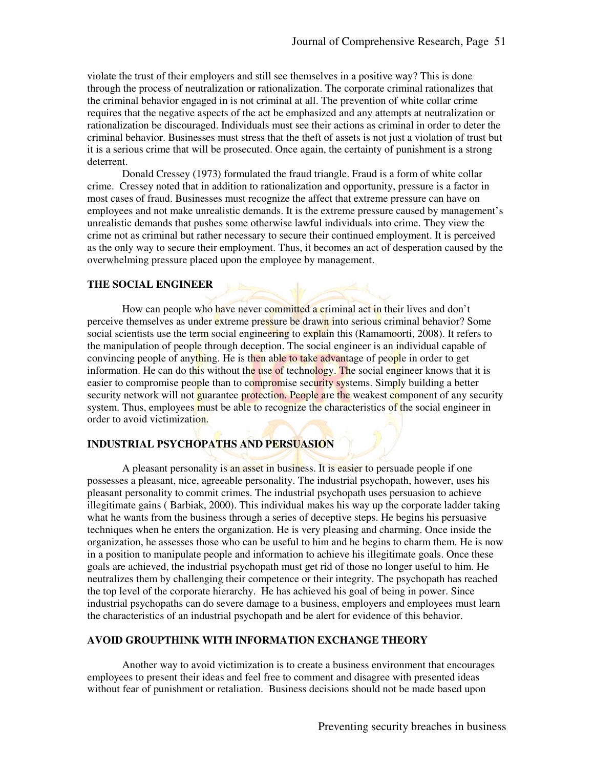violate the trust of their employers and still see themselves in a positive way? This is done through the process of neutralization or rationalization. The corporate criminal rationalizes that the criminal behavior engaged in is not criminal at all. The prevention of white collar crime requires that the negative aspects of the act be emphasized and any attempts at neutralization or rationalization be discouraged. Individuals must see their actions as criminal in order to deter the criminal behavior. Businesses must stress that the theft of assets is not just a violation of trust but it is a serious crime that will be prosecuted. Once again, the certainty of punishment is a strong deterrent.

Donald Cressey (1973) formulated the fraud triangle. Fraud is a form of white collar crime. Cressey noted that in addition to rationalization and opportunity, pressure is a factor in most cases of fraud. Businesses must recognize the affect that extreme pressure can have on employees and not make unrealistic demands. It is the extreme pressure caused by management's unrealistic demands that pushes some otherwise lawful individuals into crime. They view the crime not as criminal but rather necessary to secure their continued employment. It is perceived as the only way to secure their employment. Thus, it becomes an act of desperation caused by the overwhelming pressure placed upon the employee by management.

#### **THE SOCIAL ENGINEER**

How can people who have never committed a criminal act in their lives and don't perceive themselves as under extreme pressure be drawn into serious criminal behavior? Some social scientists use the term social engineering to explain this (Ramamoorti, 2008). It refers to the manipulation of people through deception. The social engineer is an individual capable of convincing people of anything. He is then able to take advantage of people in order to get information. He can do this without the use of technology. The social engineer knows that it is easier to compromise people than to compromise security systems. Simply building a better security network will not guarantee protection. People are the weakest component of any security system. Thus, employees must be able to recognize the characteristics of the social engineer in order to avoid victimization.

# **INDUSTRIAL PSYCHOPATHS AND PERSUASION**

A pleasant personality is an asset in business. It is easier to persuade people if one possesses a pleasant, nice, agreeable personality. The industrial psychopath, however, uses his pleasant personality to commit crimes. The industrial psychopath uses persuasion to achieve illegitimate gains ( Barbiak, 2000). This individual makes his way up the corporate ladder taking what he wants from the business through a series of deceptive steps. He begins his persuasive techniques when he enters the organization. He is very pleasing and charming. Once inside the organization, he assesses those who can be useful to him and he begins to charm them. He is now in a position to manipulate people and information to achieve his illegitimate goals. Once these goals are achieved, the industrial psychopath must get rid of those no longer useful to him. He neutralizes them by challenging their competence or their integrity. The psychopath has reached the top level of the corporate hierarchy. He has achieved his goal of being in power. Since industrial psychopaths can do severe damage to a business, employers and employees must learn the characteristics of an industrial psychopath and be alert for evidence of this behavior.

### **AVOID GROUPTHINK WITH INFORMATION EXCHANGE THEORY**

Another way to avoid victimization is to create a business environment that encourages employees to present their ideas and feel free to comment and disagree with presented ideas without fear of punishment or retaliation. Business decisions should not be made based upon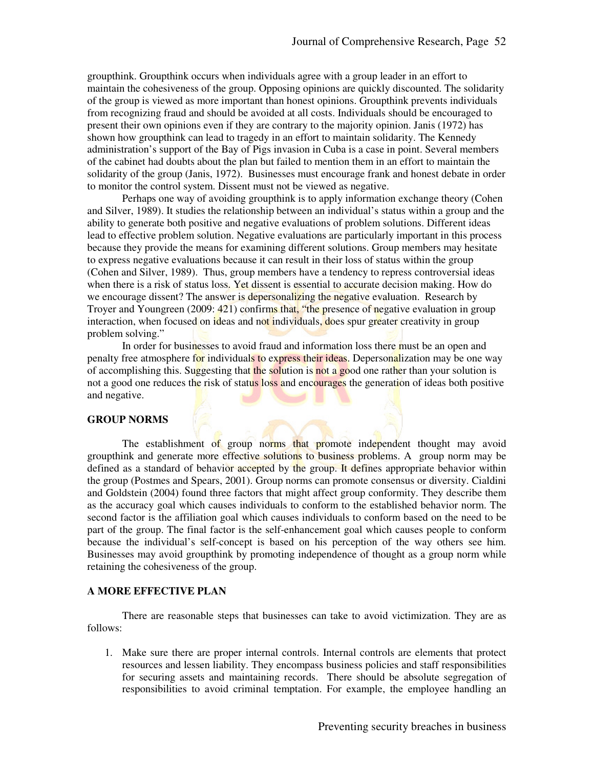groupthink. Groupthink occurs when individuals agree with a group leader in an effort to maintain the cohesiveness of the group. Opposing opinions are quickly discounted. The solidarity of the group is viewed as more important than honest opinions. Groupthink prevents individuals from recognizing fraud and should be avoided at all costs. Individuals should be encouraged to present their own opinions even if they are contrary to the majority opinion. Janis (1972) has shown how groupthink can lead to tragedy in an effort to maintain solidarity. The Kennedy administration's support of the Bay of Pigs invasion in Cuba is a case in point. Several members of the cabinet had doubts about the plan but failed to mention them in an effort to maintain the solidarity of the group (Janis, 1972). Businesses must encourage frank and honest debate in order to monitor the control system. Dissent must not be viewed as negative.

Perhaps one way of avoiding groupthink is to apply information exchange theory (Cohen and Silver, 1989). It studies the relationship between an individual's status within a group and the ability to generate both positive and negative evaluations of problem solutions. Different ideas lead to effective problem solution. Negative evaluations are particularly important in this process because they provide the means for examining different solutions. Group members may hesitate to express negative evaluations because it can result in their loss of status within the group (Cohen and Silver, 1989). Thus, group members have a tendency to repress controversial ideas when there is a risk of status loss. Yet dissent is essential to accurate decision making. How do we encourage dissent? The answer is depersonalizing the negative evaluation. Research by Troyer and Youngreen (2009: 421) confirms that, "the presence of negative evaluation in group interaction, when focused on ideas and not individuals, does spur greater creativity in group problem solving."

In order for businesses to avoid fraud and information loss there must be an open and penalty free atmosphere for individuals to express their ideas. Depersonalization may be one way of accomplishing this. Suggesting that the solution is not a good one rather than your solution is not a good one reduces the risk of status loss and encourages the generation of ideas both positive and negative.

#### **GROUP NORMS**

The establishment of group norms that promote independent thought may avoid groupthink and generate more effective solutions to business problems. A group norm may be defined as a standard of behavior accepted by the group. It defines appropriate behavior within the group (Postmes and Spears, 2001). Group norms can promote consensus or diversity. Cialdini and Goldstein (2004) found three factors that might affect group conformity. They describe them as the accuracy goal which causes individuals to conform to the established behavior norm. The second factor is the affiliation goal which causes individuals to conform based on the need to be part of the group. The final factor is the self-enhancement goal which causes people to conform because the individual's self-concept is based on his perception of the way others see him. Businesses may avoid groupthink by promoting independence of thought as a group norm while retaining the cohesiveness of the group.

## **A MORE EFFECTIVE PLAN**

There are reasonable steps that businesses can take to avoid victimization. They are as follows:

1. Make sure there are proper internal controls. Internal controls are elements that protect resources and lessen liability. They encompass business policies and staff responsibilities for securing assets and maintaining records. There should be absolute segregation of responsibilities to avoid criminal temptation. For example, the employee handling an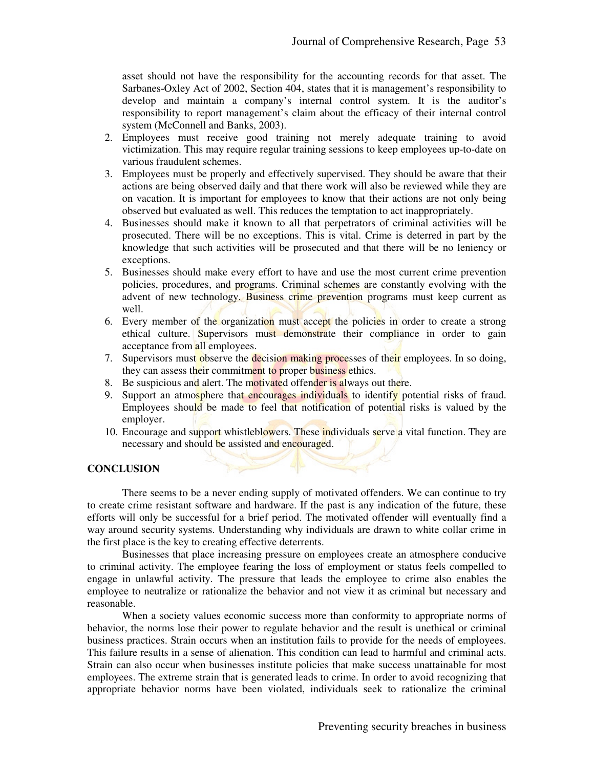asset should not have the responsibility for the accounting records for that asset. The Sarbanes-Oxley Act of 2002, Section 404, states that it is management's responsibility to develop and maintain a company's internal control system. It is the auditor's responsibility to report management's claim about the efficacy of their internal control system (McConnell and Banks, 2003).

- 2. Employees must receive good training not merely adequate training to avoid victimization. This may require regular training sessions to keep employees up-to-date on various fraudulent schemes.
- 3. Employees must be properly and effectively supervised. They should be aware that their actions are being observed daily and that there work will also be reviewed while they are on vacation. It is important for employees to know that their actions are not only being observed but evaluated as well. This reduces the temptation to act inappropriately.
- 4. Businesses should make it known to all that perpetrators of criminal activities will be prosecuted. There will be no exceptions. This is vital. Crime is deterred in part by the knowledge that such activities will be prosecuted and that there will be no leniency or exceptions.
- 5. Businesses should make every effort to have and use the most current crime prevention policies, procedures, and programs. Criminal schemes are constantly evolving with the advent of new technology. Business crime prevention programs must keep current as well.
- 6. Every member of the organization must accept the policies in order to create a strong ethical culture. Supervisors must demonstrate their compliance in order to gain acceptance from all employees.
- 7. Supervisors must observe the decision making processes of their employees. In so doing, they can assess their commitment to proper business ethics.
- 8. Be suspicious and alert. The motivated offender is always out there.
- 9. Support an atmosphere that encourages individuals to identify potential risks of fraud. Employees should be made to feel that notification of potential risks is valued by the employer.
- 10. Encourage and support whistleblowers. These individuals serve a vital function. They are necessary and should be assisted and encouraged.

## **CONCLUSION**

There seems to be a never ending supply of motivated offenders. We can continue to try to create crime resistant software and hardware. If the past is any indication of the future, these efforts will only be successful for a brief period. The motivated offender will eventually find a way around security systems. Understanding why individuals are drawn to white collar crime in the first place is the key to creating effective deterrents.

Businesses that place increasing pressure on employees create an atmosphere conducive to criminal activity. The employee fearing the loss of employment or status feels compelled to engage in unlawful activity. The pressure that leads the employee to crime also enables the employee to neutralize or rationalize the behavior and not view it as criminal but necessary and reasonable.

When a society values economic success more than conformity to appropriate norms of behavior, the norms lose their power to regulate behavior and the result is unethical or criminal business practices. Strain occurs when an institution fails to provide for the needs of employees. This failure results in a sense of alienation. This condition can lead to harmful and criminal acts. Strain can also occur when businesses institute policies that make success unattainable for most employees. The extreme strain that is generated leads to crime. In order to avoid recognizing that appropriate behavior norms have been violated, individuals seek to rationalize the criminal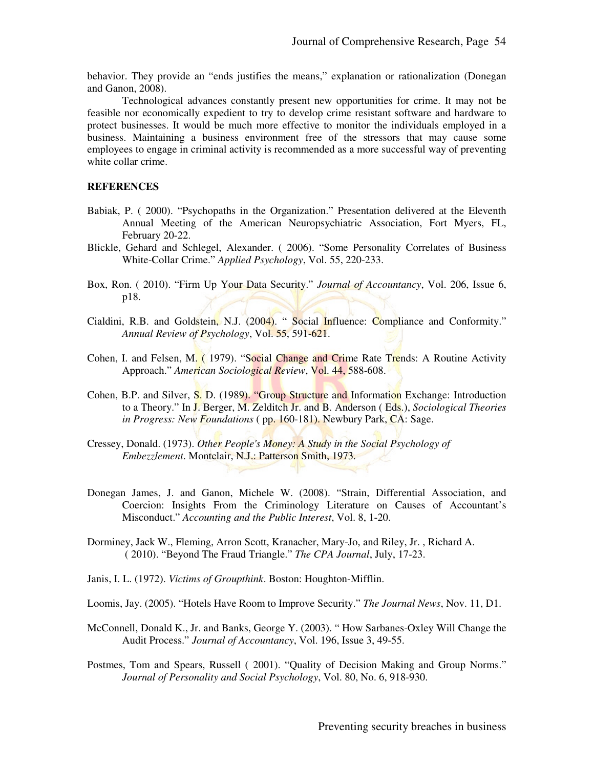behavior. They provide an "ends justifies the means," explanation or rationalization (Donegan and Ganon, 2008).

Technological advances constantly present new opportunities for crime. It may not be feasible nor economically expedient to try to develop crime resistant software and hardware to protect businesses. It would be much more effective to monitor the individuals employed in a business. Maintaining a business environment free of the stressors that may cause some employees to engage in criminal activity is recommended as a more successful way of preventing white collar crime.

#### **REFERENCES**

- Babiak, P. ( 2000). "Psychopaths in the Organization." Presentation delivered at the Eleventh Annual Meeting of the American Neuropsychiatric Association, Fort Myers, FL, February 20-22.
- Blickle, Gehard and Schlegel, Alexander. ( 2006). "Some Personality Correlates of Business White-Collar Crime." *Applied Psychology*, Vol. 55, 220-233.
- Box, Ron. ( 2010). "Firm Up Your Data Security." *Journal of Accountancy*, Vol. 206, Issue 6, p18.
- Cialdini, R.B. and Goldstein, N.J. (2004). " Social Influence: Compliance and Conformity." *Annual Review of Psychology*, Vol. 55, 591-621.
- Cohen, I. and Felsen, M. (1979). "Social Change and Crime Rate Trends: A Routine Activity Approach." *American Sociological Review*, Vol. 44, 588-608.
- Cohen, B.P. and Silver, S. D. (1989). "Group Structure and Information Exchange: Introduction to a Theory." In J. Berger, M. Zelditch Jr. and B. Anderson ( Eds.), *Sociological Theories in Progress: New Foundations* ( pp. 160-181). Newbury Park, CA: Sage.
- Cressey, Donald. (1973). *Other People's Money: A Study in the Social Psychology of Embezzlement*. Montclair, N.J.: Patterson Smith, 1973.
- Donegan James, J. and Ganon, Michele W. (2008). "Strain, Differential Association, and Coercion: Insights From the Criminology Literature on Causes of Accountant's Misconduct." *Accounting and the Public Interest*, Vol. 8, 1-20.
- Dorminey, Jack W., Fleming, Arron Scott, Kranacher, Mary-Jo, and Riley, Jr. , Richard A. ( 2010). "Beyond The Fraud Triangle." *The CPA Journal*, July, 17-23.
- Janis, I. L. (1972). *Victims of Groupthink*. Boston: Houghton-Mifflin.
- Loomis, Jay. (2005). "Hotels Have Room to Improve Security." *The Journal News*, Nov. 11, D1.
- McConnell, Donald K., Jr. and Banks, George Y. (2003). " How Sarbanes-Oxley Will Change the Audit Process." *Journal of Accountancy*, Vol. 196, Issue 3, 49-55.
- Postmes, Tom and Spears, Russell ( 2001). "Quality of Decision Making and Group Norms." *Journal of Personality and Social Psychology*, Vol. 80, No. 6, 918-930.